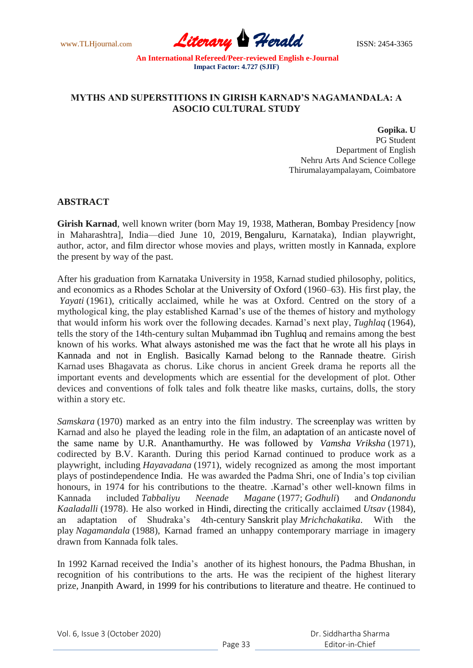www.TLHjournal.com **Literary Herald Herald** ISSN: 2454-3365

### **MYTHS AND SUPERSTITIONS IN GIRISH KARNAD'S NAGAMANDALA: A ASOCIO CULTURAL STUDY**

**Gopika. U** PG Student Department of English Nehru Arts And Science College Thirumalayampalayam, Coimbatore

### **ABSTRACT**

**Girish Karnad**, well known writer (born May 19, 1938, Matheran, Bombay Presidency [now in Maharashtra], India—died June 10, 2019, Bengaluru, Karnataka), Indian playwright, author, actor, and film director whose movies and plays, written mostly in Kannada, explore the present by way of the past.

After his graduation from Karnataka University in 1958, Karnad studied philosophy, politics, and economics as a Rhodes Scholar at the University of Oxford (1960–63). His first play, the *Yayati* (1961), critically acclaimed, while he was at Oxford. Centred on the story of a mythological king, the play established Karnad's use of the themes of history and mythology that would inform his work over the following decades. Karnad's next play, *Tughlaq* (1964), tells the story of the 14th-century sultan Muḥammad ibn Tughluq and remains among the best known of his works. What always astonished me was the fact that he wrote all his plays in Kannada and not in English. Basically Karnad belong to the Rannade theatre. Girish Karnad uses Bhagavata as chorus. Like chorus in ancient Greek drama he reports all the important events and developments which are essential for the development of plot. Other devices and conventions of folk tales and folk theatre like masks, curtains, dolls, the story within a story etc.

*Samskara* (1970) marked as an entry into the film industry. The screenplay was written by Karnad and also he played the leading role in the film, an adaptation of an anticaste novel of the same name by U.R. Ananthamurthy. He was followed by *Vamsha Vriksha* (1971), codirected by B.V. Karanth. During this period Karnad continued to produce work as a playwright, including *Hayavadana* (1971), widely recognized as among the most important plays of postindependence India. He was awarded the Padma Shri, one of India's top civilian honours, in 1974 for his contributions to the theatre. .Karnad's other well-known films in Kannada included *Tabbaliyu Neenade Magane* (1977; *Godhuli*) and *Ondanondu Kaaladalli* (1978). He also worked in Hindi, directing the critically acclaimed *Utsav* (1984), an adaptation of Shudraka's 4th-century Sanskrit play *Mrichchakatika*. With the play *Nagamandala* (1988), Karnad framed an unhappy contemporary marriage in imagery drawn from Kannada folk tales.

In 1992 Karnad received the India's another of its highest honours, the Padma Bhushan, in recognition of his contributions to the arts. He was the recipient of the highest literary prize, Jnanpith Award, in 1999 for his contributions to literature and theatre. He continued to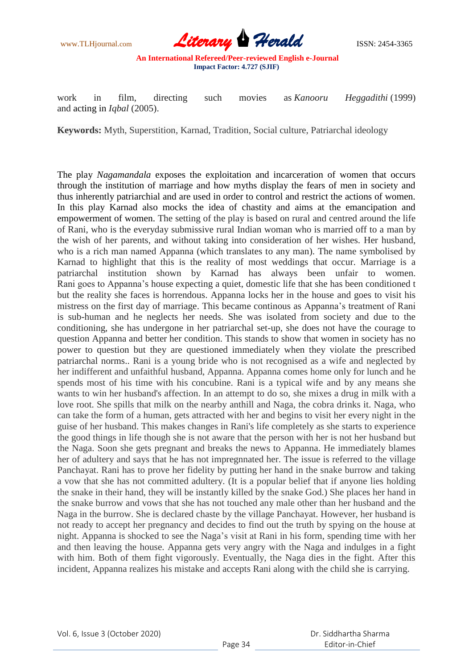

work in film, directing such movies as *Kanooru Heggadithi* (1999) and acting in *Iqbal* (2005).

**Keywords:** Myth, Superstition, Karnad, Tradition, Social culture, Patriarchal ideology

The play *Nagamandala* exposes the exploitation and incarceration of women that occurs through the institution of marriage and how myths display the fears of men in society and thus inherently patriarchial and are used in order to control and restrict the actions of women. In this play Karnad also mocks the idea of chastity and aims at the emancipation and empowerment of women. The setting of the play is based on rural and centred around the life of Rani, who is the everyday submissive rural Indian woman who is married off to a man by the wish of her parents, and without taking into consideration of her wishes. Her husband, who is a rich man named Appanna (which translates to any man). The name symbolised by Karnad to highlight that this is the reality of most weddings that occur. Marriage is a patriarchal institution shown by Karnad has always been unfair to women. Rani goes to Appanna's house expecting a quiet, domestic life that she has been conditioned t but the reality she faces is horrendous. Appanna locks her in the house and goes to visit his mistress on the first day of marriage. This became continous as Appanna's treatment of Rani is sub-human and he neglects her needs. She was isolated from society and due to the conditioning, she has undergone in her patriarchal set-up, she does not have the courage to question Appanna and better her condition. This stands to show that women in society has no power to question but they are questioned immediately when they violate the prescribed patriarchal norms.. Rani is a young bride who is not recognised as a wife and neglected by her indifferent and unfaithful husband, Appanna. Appanna comes home only for lunch and he spends most of his time with his concubine. Rani is a typical wife and by any means she wants to win her husband's affection. In an attempt to do so, she mixes a drug in milk with a love root. She spills that milk on the nearby anthill and Naga, the cobra drinks it. Naga, who can take the form of a human, gets attracted with her and begins to visit her every night in the guise of her husband. This makes changes in Rani's life completely as she starts to experience the good things in life though she is not aware that the person with her is not her husband but the Naga. Soon she gets pregnant and breaks the news to Appanna. He immediately blames her of adultery and says that he has not impregnnated her. The issue is referred to the village Panchayat. Rani has to prove her fidelity by putting her hand in the snake burrow and taking a vow that she has not committed adultery. (It is a popular belief that if anyone lies holding the snake in their hand, they will be instantly killed by the snake God.) She places her hand in the snake burrow and vows that she has not touched any male other than her husband and the Naga in the burrow. She is declared chaste by the village Panchayat. However, her husband is not ready to accept her pregnancy and decides to find out the truth by spying on the house at night. Appanna is shocked to see the Naga's visit at Rani in his form, spending time with her and then leaving the house. Appanna gets very angry with the Naga and indulges in a fight with him. Both of them fight vigorously. Eventually, the Naga dies in the fight. After this incident, Appanna realizes his mistake and accepts Rani along with the child she is carrying.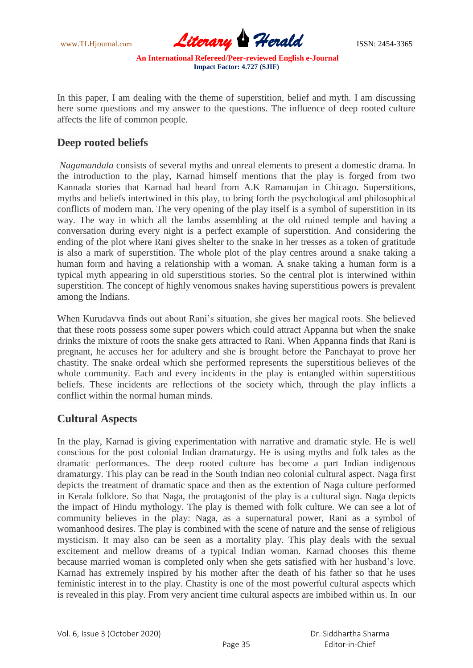www.TLHjournal.com **Literary Herald Herald** ISSN: 2454-3365

In this paper, I am dealing with the theme of superstition, belief and myth. I am discussing here some questions and my answer to the questions. The influence of deep rooted culture affects the life of common people.

## **Deep rooted beliefs**

*Nagamandala* consists of several myths and unreal elements to present a domestic drama. In the introduction to the play, Karnad himself mentions that the play is forged from two Kannada stories that Karnad had heard from A.K Ramanujan in Chicago. Superstitions, myths and beliefs intertwined in this play, to bring forth the psychological and philosophical conflicts of modern man. The very opening of the play itself is a symbol of superstition in its way. The way in which all the lambs assembling at the old ruined temple and having a conversation during every night is a perfect example of superstition. And considering the ending of the plot where Rani gives shelter to the snake in her tresses as a token of gratitude is also a mark of superstition. The whole plot of the play centres around a snake taking a human form and having a relationship with a woman. A snake taking a human form is a typical myth appearing in old superstitious stories. So the central plot is interwined within superstition. The concept of highly venomous snakes having superstitious powers is prevalent among the Indians.

When Kurudavva finds out about Rani's situation, she gives her magical roots. She believed that these roots possess some super powers which could attract Appanna but when the snake drinks the mixture of roots the snake gets attracted to Rani. When Appanna finds that Rani is pregnant, he accuses her for adultery and she is brought before the Panchayat to prove her chastity. The snake ordeal which she performed represents the superstitious believes of the whole community. Each and every incidents in the play is entangled within superstitious beliefs. These incidents are reflections of the society which, through the play inflicts a conflict within the normal human minds.

### **Cultural Aspects**

In the play, Karnad is giving experimentation with narrative and dramatic style. He is well conscious for the post colonial Indian dramaturgy. He is using myths and folk tales as the dramatic performances. The deep rooted culture has become a part Indian indigenous dramaturgy. This play can be read in the South Indian neo colonial cultural aspect. Naga first depicts the treatment of dramatic space and then as the extention of Naga culture performed in Kerala folklore. So that Naga, the protagonist of the play is a cultural sign. Naga depicts the impact of Hindu mythology. The play is themed with folk culture. We can see a lot of community believes in the play: Naga, as a supernatural power, Rani as a symbol of womanhood desires. The play is combined with the scene of nature and the sense of religious mysticism. It may also can be seen as a mortality play. This play deals with the sexual excitement and mellow dreams of a typical Indian woman. Karnad chooses this theme because married woman is completed only when she gets satisfied with her husband's love. Karnad has extremely inspired by his mother after the death of his father so that he uses feministic interest in to the play. Chastity is one of the most powerful cultural aspects which is revealed in this play. From very ancient time cultural aspects are imbibed within us. In our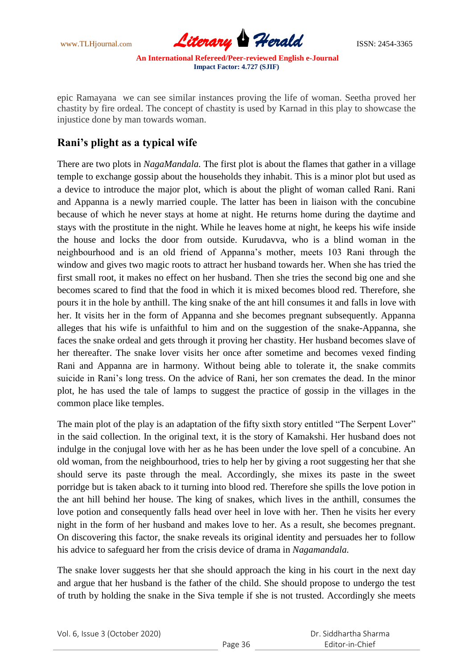www.TLHjournal.com **Literary Herald Herald** ISSN: 2454-3365

epic Ramayana we can see similar instances proving the life of woman. Seetha proved her chastity by fire ordeal. The concept of chastity is used by Karnad in this play to showcase the injustice done by man towards woman.

# **Rani's plight as a typical wife**

There are two plots in *NagaMandala.* The first plot is about the flames that gather in a village temple to exchange gossip about the households they inhabit. This is a minor plot but used as a device to introduce the major plot, which is about the plight of woman called Rani. Rani and Appanna is a newly married couple. The latter has been in liaison with the concubine because of which he never stays at home at night. He returns home during the daytime and stays with the prostitute in the night. While he leaves home at night, he keeps his wife inside the house and locks the door from outside. Kurudavva, who is a blind woman in the neighbourhood and is an old friend of Appanna's mother, meets 103 Rani through the window and gives two magic roots to attract her husband towards her. When she has tried the first small root, it makes no effect on her husband. Then she tries the second big one and she becomes scared to find that the food in which it is mixed becomes blood red. Therefore, she pours it in the hole by anthill. The king snake of the ant hill consumes it and falls in love with her. It visits her in the form of Appanna and she becomes pregnant subsequently. Appanna alleges that his wife is unfaithful to him and on the suggestion of the snake-Appanna, she faces the snake ordeal and gets through it proving her chastity. Her husband becomes slave of her thereafter. The snake lover visits her once after sometime and becomes vexed finding Rani and Appanna are in harmony. Without being able to tolerate it, the snake commits suicide in Rani's long tress. On the advice of Rani, her son cremates the dead. In the minor plot, he has used the tale of lamps to suggest the practice of gossip in the villages in the common place like temples.

The main plot of the play is an adaptation of the fifty sixth story entitled "The Serpent Lover" in the said collection. In the original text, it is the story of Kamakshi. Her husband does not indulge in the conjugal love with her as he has been under the love spell of a concubine. An old woman, from the neighbourhood, tries to help her by giving a root suggesting her that she should serve its paste through the meal. Accordingly, she mixes its paste in the sweet porridge but is taken aback to it turning into blood red. Therefore she spills the love potion in the ant hill behind her house. The king of snakes, which lives in the anthill, consumes the love potion and consequently falls head over heel in love with her. Then he visits her every night in the form of her husband and makes love to her. As a result, she becomes pregnant. On discovering this factor, the snake reveals its original identity and persuades her to follow his advice to safeguard her from the crisis device of drama in *Nagamandala.*

The snake lover suggests her that she should approach the king in his court in the next day and argue that her husband is the father of the child. She should propose to undergo the test of truth by holding the snake in the Siva temple if she is not trusted. Accordingly she meets